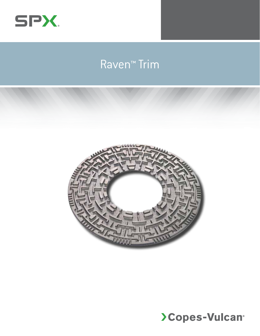

# Raven™ Trim



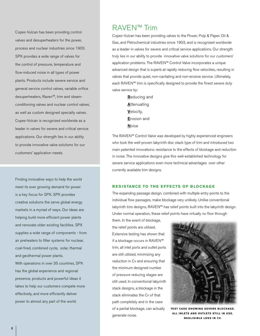Copes-Vulcan has been providing control valves and desuperheaters for the power, process and nuclear industries since 1903. SPX provides a wide range of valves for the control of pressure, temperature and flow-induced noise in all types of power plants. Products include severe service and general service control valves, variable orifice desuperheaters, Raven™, trim and steamconditioning valves and nuclear control valves, as well as custom designed specialty valves. Copes-Vulcan is recognized worldwide as a leader in valves for severe and critical service applications. Our strength lies in our ability to provide innovative valve solutions for our customers' application needs.

Finding innovative ways to help the world meet its ever growing demand for power is a key focus for SPX. SPX provides creative solutions the serve global energy markets in a myriad of ways. Our ideas are helping build more efficient power plants and renovate older existing facilities. SPX supplies a wide range of components - from air preheaters to filter systems for nuclear, coal-fired, combined cycle, solar, thermal and geothermal power plants.

With operations in over 35 countries, SPX has the global experience and regional presence, products and powerful ideas it takes to help our customers compete more effectively, and more efficiently deliver power to almost any part of the world.

## RAVEN™ Trim

Copes-Vulcan has been providing valves to the Power, Pulp & Paper, Oil & Gas, and Petrochemical industries since 1903, and is recognized worldwide as a leader in valves for severe and critical service applications. Our strength truly lies in our ability to provide innovative valve solutions for our customers' application problems. The RAVEN™ Control Valve incorporates a unique advanced design that is superb at rapidly reducing flow velocities, resulting in valves that provide quiet, non-cavitating and non-erosive service. Ultimately, each RAVEN™ trim is specifically designed to provide the finest severe duty valve service by:

> Reducing and **Attenuating** Velocity, Erosion and **Noise**

The RAVEN™ Control Valve was developed by highly experienced engineers who took the well-proven labyrinth disc stack type of trim and introduced two main patented innovations: resistance to the effects of blockage and reduction in noise. The innovative designs give this well-established technology for severe service applications even more technical advantages over other currently available trim designs.

## **RESISTANCE TO THE EFFECTS OF BLOCKAGE**

The expanding passage design, combined with multiple entry points to the individual flow passages, make blockage very unlikely. Unlike conventional labyrinth trim designs, RAVEN™ has relief points built into the labyrinth design. Under normal operation, these relief points have virtually no flow through

them. In the event of blockage, the relief points are utilized. Extensive testing has shown that if a blockage occurs in RAVEN™ trim, all inlet ports and outlet ports are still utilized, minimizing any reduction in Cv and ensuring that the minimum designed number of pressure reducing stages are still used. In conventional labyrinth stack designs, a blockage in the stack eliminates the Cv of that path completely and in the case of a partial blockage, can actually generate noise.



**TEST CASE SHOWING SEVERE RIOCKAGE. ALL INLETS AND OUTLETS STILL IN USE. N egligi b le loss in Cv.**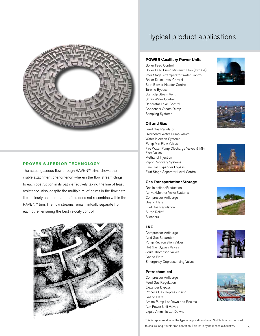

## **PROVEN SUPERIOR TECHNOLOGY**

The actual gaseous flow through RAVEN™ trims shows the visible attachment phenomenon wherein the flow stream clings to each obstruction in its path, effectively taking the line of least resistance. Also, despite the multiple relief points in the flow path, it can clearly be seen that the fluid does not recombine within the RAVEN™ trim. The flow streams remain virtually separate from each other, ensuring the best velocity control.



# Typical product applications

## **POWER/Auxiliary Power Units**

Boiler Feed Control Boiler Feed Pump Minimum Flow (Bypass) Inter Stage Attemperator Water Control Boiler Drum Level Control Soot Blower Header Control Turbine Bypass Start-Up Steam Vent Spray Water Control Deaerator Level Control Condenser Steam Dump Sampling Systems

**Oil and Gas** Feed Gas Regulator

Flow Valves Methanol Injection Vapor Recovery Systems Flue Gas Expander Bypass First Stage Separator Level Control

Overboard Water Dump Valves Water Injection Systems Pump Min Flow Valves

Fire Water Pump Discharge Valves & Min

**Gas Transportation/Storage**

Gas Injection/Production Active/Monitor Valve Systems Compressor Antisurge









### **LNG**

Gas to Flare Fuel Gas Regulation Surge Relief Silencers

Compressor Antisurge Acid Gas Separator Pump Recirculation Valves Hot Gas Bypass Valves Joule Thompson Valves Gas to Flare Emergency Depressurising Valves

## **Petrochemical**

Compressor Antisurge Feed Gas Regulation Expander Bypass Process Gas Depressurising Gas to Flare Amine Pump Let Down and Recircs Aux Power Unit Valves Liquid Amminia Let Downs





This is representative of the type of application where RAVEN trim can be used to ensure long trouble-free operation. This list is by no means exhaustive.

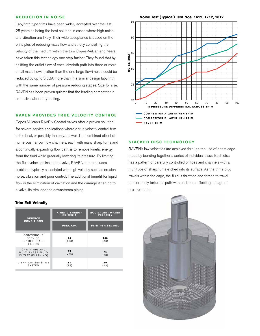## **REDUCTION IN NOISE**

Labyrinth type trims have been widely accepted over the last 25 years as being the best solution in cases where high noise and vibration are likely. Their wide acceptance is based on the principles of reducing mass flow and strictly controlling the velocity of the medium within the trim. Copes-Vulcan engineers have taken this technology one step further. They found that by splitting the outlet flow of each labyrinth path into three or more small mass flows (rather than the one large flow) noise could be reduced by up to 3 dBA more than in a similar design labyrinth with the same number of pressure reducing stages. Size for size, RAVEN has been proven quieter that the leading competitor in extensive laboratory testing.

## **RAVEN PROVIDES TRUE VELOCITY CONTROL**

Copes-Vulcan's RAVEN Control Valves offer a proven solution for severe service applications where a true velocity control trim is the best, or possibly the only, answer. The combined effect of numerous narrow flow channels, each with many sharp turns and a continually expanding flow path, is to remove kinetic energy from the fluid while gradually lowering its pressure. By limiting the fluid velocities inside the valve, RAVEN trim precludes problems typically associated with high velocity such as erosion, noise, vibration and poor control. The additional benefit for liquid flow is the elimination of cavitation and the damage it can do to a valve, its trim, and the downstream piping.

## **Trim Exit Velocity**

| <b>SERVICE</b><br><b>CONDITIONS</b>                                    | <b>KINETIC ENERGY</b><br><b>CRITERIA</b> | <b>EQUIVALENT WATER</b><br><b>VELOCITY</b> |
|------------------------------------------------------------------------|------------------------------------------|--------------------------------------------|
|                                                                        | <b>PSIA/KPA</b>                          | <b>FT/M PER SECOND</b>                     |
| CONTINUOUS<br>SERVICE,<br>SINGLE PHASE<br><b>FLUIDS</b>                | 70<br>(450)                              | 100<br>(30)                                |
| CAVITATING AND<br><b>MULTI PHASE FLUID</b><br><b>OUTLET (FLASHING)</b> | 40<br>(275)                              | 75<br>(23)                                 |
| <b>VIBRATION SENSITIVE</b><br><b>SYSTEM</b>                            | 11<br>(75)                               | 40<br>(12)                                 |



**STACKED DISC TECHNOLOGY** 

RAVEN's low velocities are achieved through the use of a trim cage made by bonding together a series of individual discs. Each disc has a pattern of carefully controlled orifices and channels with a multitude of sharp turns etched into its surface. As the trim's plug travels within the cage, the fluid is throttled and forced to travel an extremely torturous path with each turn effecting a stage of pressure drop.

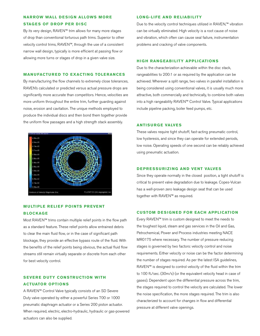## **NARROW WALL DESIGN ALLOWS MORE STAGES OF DROP PER DISC**

By its very design, RAVEN™ trim allows for many more stages of drop than conventional torturous path trims. Superior to other velocity control trims, RAVEN™, through the use of a consistent narrow wall design, typically is more efficient at passing flow or allowing more turns or stages of drop in a given valve size.

## **MANUFACTURED TO EXACTING TOLERANCES**

By manufacturing the flow channels to extremely close tolerances, RAVEN's calculated or predicted versus actual pressure drops are significantly more accurate than competitors. Hence, velocities are more uniform throughout the entire trim, further guarding against noise, erosion and cavitation. The unique methods employed to produce the individual discs and then bond them together provide the uniform flow passages and a high strength stack assembly.



## **MULTIPLE RELIEF POINTS PREVENT B lockag e**

Most RAVEN™ trims contain multiple relief points in the flow path as a standard feature. These relief points allow entrained debris to clear the main fluid flow, or in the case of significant path blockage, they provide an effective bypass route of the fluid. With the benefits of the relief points being obvious, the actual fluid flow streams still remain virtually separate or discrete from each other for best velocity control.

## **SEVERE DUTY CONSTRUCTION WITH Actuator Option s**

A RAVEN™ Control Valve typically consists of an SD Severe Duty valve operated by either a powerful Series 700 or 1000 pneumatic diaphragm actuator or a Series 200 piston actuator. When required, electric, electro-hydraulic, hydraulic or gas-powered actuators can also be supplied.

## **LONG-LIFE AND RELIABILITY**

Due to the velocity control techniques utilized in RAVEN,™ vibration can be virtually eliminated. High velocity is a root cause of noise and vibration, which often can cause seal failure, instrumentation problems and cracking of valve components.

## **H igh Rangeab ility Application s**

Due to the characterization achievable within the disc stack, rangeabilities to 200:1 or as required by the application can be achieved. Wherever a split range, two valves in parallel installation is being considered using conventional valves, it is usually much more attractive, both commercially and technically, to combine both valves into a high rangeability RAVEN™ Control Valve. Typical applications include pipeline packing, boiler feed pumps, etc.

## **ANTISURGE VALVES**

These valves require tight shutoff, fast-acting pneumatic control, low hysteresis, and since they can operate for extended periods, low noise. Operating speeds of one second can be reliably achieved using pneumatic actuation.

## **DEPRESSURIZING AND VENT VALVES**

Since they operate normally in the closed position, a tight shutoff is critical to prevent valve degradation due to leakage. Copes-Vulcan has a well-proven zero leakage design seat that can be used together with RAVEN<sup>™</sup> as required.

## **Custom D esigned for Each Application**

Every RAVEN™ trim is custom designed to meet the needs to the toughest liquid, steam and gas services in the Oil and Gas, Petrochemical, Power and Process industries meeting NACE MR0175 where necessary. The number of pressure reducing stages is governed by two factors: velocity control and noise requirements. Either velocity or noise can be the factor determining the number of stages required. As per the latest ISA guidelines, RAVEN™ is designed to control velocity of the fluid within the trim to 100 ft./sec. (30m/s) (or the equivalent velocity head in case of gases). Dependent upon the differential pressure across the trim, the stages required to control the velocity are calculated. The lower the noise specification, the more stages required. The trim is also characterized to account for changes in flow and differential pressure at different valve openings.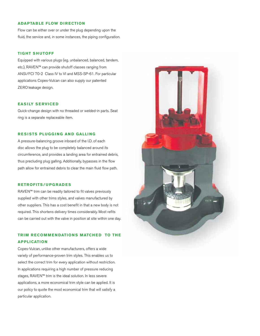## **ADAPTABLE FLOW DIRECTION**

Flow can be either over or under the plug depending upon the fluid, the service and, in some instances, the piping configuration.

## **Tight S h utoff**

Equipped with various plugs (eg. unbalanced, balanced, tandem, etc.), RAVEN™ can provide shutoff classes ranging from ANSI/FCI 70-2 Class IV to VI and MSS-SP-61. For particular applications Copes-Vulcan can also supply our patented ZERO leakage design.

## **EASILY SERVICED**

Quick-change design with no threaded or welded-in parts. Seat ring is a separate replaceable item.

## **RESISTS PLUGGING AND GALLING**

A pressure-balancing groove inboard of the I.D. of each disc allows the plug to be completely balanced around its circumference, and provides a landing area for entrained debris, thus precluding plug galling. Additionally, bypasses in the flow path allow for entrained debris to clear the main fluid flow path.

## **Retrofits/ Upg rad e s**

RAVEN™ trim can be readily tailored to fit valves previously supplied with other trims styles, and valves manufactured by other suppliers. This has a cost benefit in that a new body is not required. This shortens delivery times considerably. Most refits can be carried out with the valve in position at site within one day.

## **TRIM RECOMMENDATIONS MATCHED TO THE Application**

Copes-Vulcan, unlike other manufacturers, offers a wide variety of performance-proven trim styles. This enables us to select the correct trim for every application without restriction. In applications requiring a high number of pressure reducing stages, RAVEN™ trim is the ideal solution. In less severe applications, a more economical trim style can be applied. It is our policy to quote the most economical trim that will satisfy a particular application.

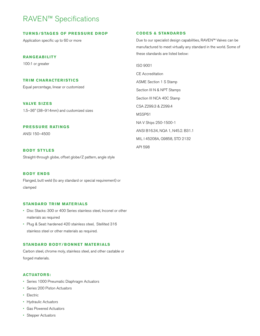# RAVEN™ Specifications

## **Tu r ns/Stages of Pr essu r e Drop**

Application specific up to 60 or more

## **Rangeab i lity**

100:1 or greater

## **Tr im Characte r istics**

Equal percentage, linear or customized

## **VALVE SIZES**

1.5–36" (38–914mm) and customized sizes

## **PRESSURE RATINGS**

ANSI 150–4500

## **Body Styles**

Straight-through globe, offset globe/Z pattern, angle style

## **BODY ENDS**

Flanged, butt weld (to any standard or special requirement) or clamped

## **STANDARD TRIM MATERIALS**

- • Disc Stacks: 300 or 400 Series stainless steel, Inconel or other materials as required
- • Plug & Seat: hardened 420 stainless steel, Stellited 316 stainless steel or other materials as required.

## **STANDARD BODY/BONNET MATERIALS**

Carbon steel, chrome moly, stainless steel, and other castable or forged materials.

## **Actuator s:**

- • Series 1000 Pneumatic Diaphragm Actuators
- • Series 200 Piston Actuators
- • Electric
- • Hydraulic Actuators
- • Gas Powered Actuators
- • Stepper Actuators

## **CODES & STANDARDS**

Due to our specialist design capabilities, RAVEN™ Valves can be manufactured to meet virtually any standard in the world. Some of these standards are listed below:

ISO 9001

CE Accreditation ASME Section 1 S Stamp Section III N & NPT Stamps Section III NCA 40C Stamp CSA Z299.3 & Z299.4 MSSP61 NA V Ships 250-1500-1 ANSI B16.34, NQA 1, N45.2. B31.1 MIL I 45208A, Q9858, STD 2132 API 598